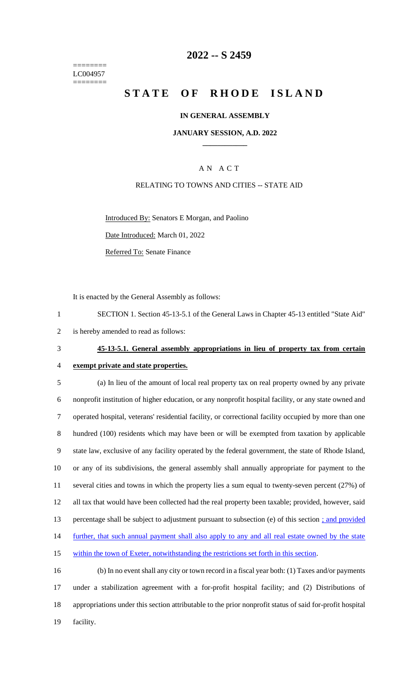======== LC004957 ========

## **2022 -- S 2459**

# **STATE OF RHODE ISLAND**

### **IN GENERAL ASSEMBLY**

### **JANUARY SESSION, A.D. 2022 \_\_\_\_\_\_\_\_\_\_\_\_**

## A N A C T

### RELATING TO TOWNS AND CITIES -- STATE AID

Introduced By: Senators E Morgan, and Paolino

Date Introduced: March 01, 2022

Referred To: Senate Finance

It is enacted by the General Assembly as follows:

1 SECTION 1. Section 45-13-5.1 of the General Laws in Chapter 45-13 entitled "State Aid" 2 is hereby amended to read as follows:

# 3 **45-13-5.1. General assembly appropriations in lieu of property tax from certain**

4 **exempt private and state properties.**

 (a) In lieu of the amount of local real property tax on real property owned by any private nonprofit institution of higher education, or any nonprofit hospital facility, or any state owned and operated hospital, veterans' residential facility, or correctional facility occupied by more than one hundred (100) residents which may have been or will be exempted from taxation by applicable state law, exclusive of any facility operated by the federal government, the state of Rhode Island, or any of its subdivisions, the general assembly shall annually appropriate for payment to the several cities and towns in which the property lies a sum equal to twenty-seven percent (27%) of all tax that would have been collected had the real property been taxable; provided, however, said percentage shall be subject to adjustment pursuant to subsection (e) of this section ; and provided 14 further, that such annual payment shall also apply to any and all real estate owned by the state within the town of Exeter, notwithstanding the restrictions set forth in this section.

 (b) In no event shall any city or town record in a fiscal year both: (1) Taxes and/or payments under a stabilization agreement with a for-profit hospital facility; and (2) Distributions of appropriations under this section attributable to the prior nonprofit status of said for-profit hospital 19 facility.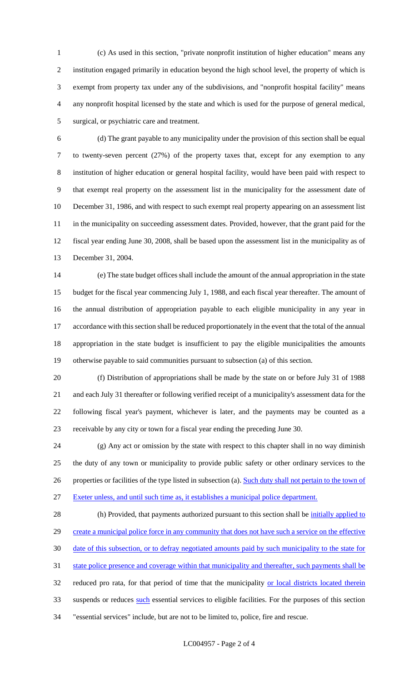(c) As used in this section, "private nonprofit institution of higher education" means any institution engaged primarily in education beyond the high school level, the property of which is exempt from property tax under any of the subdivisions, and "nonprofit hospital facility" means any nonprofit hospital licensed by the state and which is used for the purpose of general medical, surgical, or psychiatric care and treatment.

 (d) The grant payable to any municipality under the provision of this section shall be equal to twenty-seven percent (27%) of the property taxes that, except for any exemption to any institution of higher education or general hospital facility, would have been paid with respect to that exempt real property on the assessment list in the municipality for the assessment date of December 31, 1986, and with respect to such exempt real property appearing on an assessment list 11 in the municipality on succeeding assessment dates. Provided, however, that the grant paid for the fiscal year ending June 30, 2008, shall be based upon the assessment list in the municipality as of December 31, 2004.

 (e) The state budget offices shall include the amount of the annual appropriation in the state budget for the fiscal year commencing July 1, 1988, and each fiscal year thereafter. The amount of the annual distribution of appropriation payable to each eligible municipality in any year in accordance with this section shall be reduced proportionately in the event that the total of the annual appropriation in the state budget is insufficient to pay the eligible municipalities the amounts otherwise payable to said communities pursuant to subsection (a) of this section.

 (f) Distribution of appropriations shall be made by the state on or before July 31 of 1988 and each July 31 thereafter or following verified receipt of a municipality's assessment data for the following fiscal year's payment, whichever is later, and the payments may be counted as a receivable by any city or town for a fiscal year ending the preceding June 30.

 (g) Any act or omission by the state with respect to this chapter shall in no way diminish the duty of any town or municipality to provide public safety or other ordinary services to the 26 properties or facilities of the type listed in subsection (a). Such duty shall not pertain to the town of Exeter unless, and until such time as, it establishes a municipal police department.

28 (h) Provided, that payments authorized pursuant to this section shall be *initially applied to* 29 create a municipal police force in any community that does not have such a service on the effective date of this subsection, or to defray negotiated amounts paid by such municipality to the state for state police presence and coverage within that municipality and thereafter, such payments shall be 32 reduced pro rata, for that period of time that the municipality or local districts located therein 33 suspends or reduces such essential services to eligible facilities. For the purposes of this section "essential services" include, but are not to be limited to, police, fire and rescue.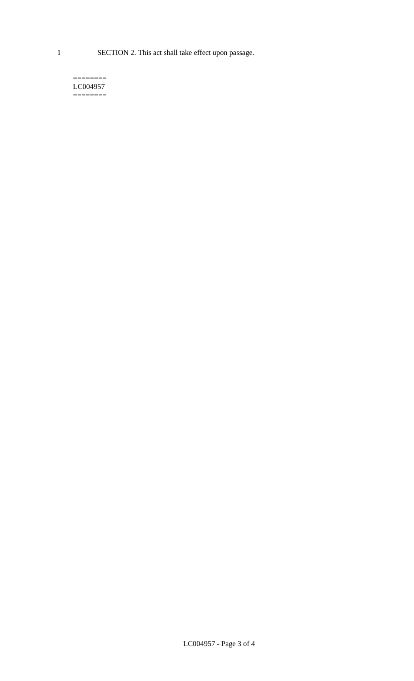1 SECTION 2. This act shall take effect upon passage.

#### $=$ LC004957  $=$